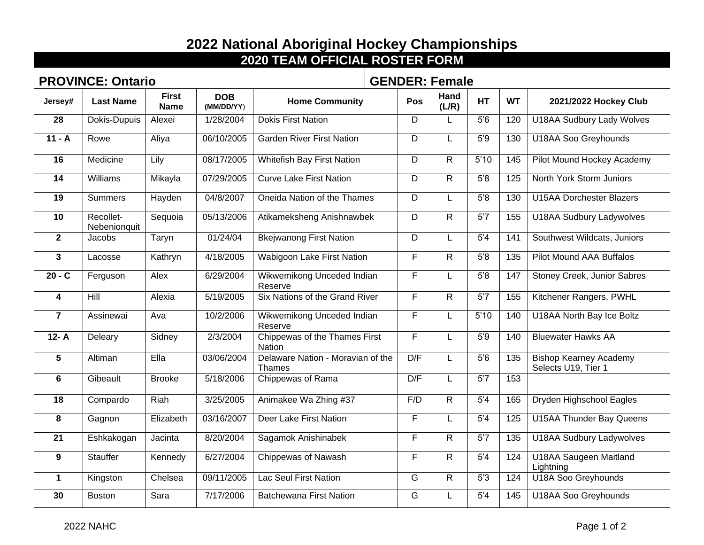## **2022 National Aboriginal Hockey Championships**

| <b>2020 TEAM OFFICIAL ROSTER FORM</b> |                           |                             |                          |                                                    |                       |               |                 |           |                                                      |
|---------------------------------------|---------------------------|-----------------------------|--------------------------|----------------------------------------------------|-----------------------|---------------|-----------------|-----------|------------------------------------------------------|
|                                       | <b>PROVINCE: Ontario</b>  |                             |                          |                                                    | <b>GENDER: Female</b> |               |                 |           |                                                      |
| Jersey#                               | <b>Last Name</b>          | <b>First</b><br><b>Name</b> | <b>DOB</b><br>(MM/DD/YY) | <b>Home Community</b>                              | Pos                   | Hand<br>(L/R) | <b>HT</b>       | <b>WT</b> | 2021/2022 Hockey Club                                |
| 28                                    | Dokis-Dupuis              | Alexei                      | 1/28/2004                | <b>Dokis First Nation</b>                          | D                     | L             | 5'6             | 120       | <b>U18AA Sudbury Lady Wolves</b>                     |
| $11 - A$                              | Rowe                      | Aliya                       | 06/10/2005               | <b>Garden River First Nation</b>                   | D                     | L             | 5'9             | 130       | <b>U18AA Soo Greyhounds</b>                          |
| 16                                    | Medicine                  | Lily                        | 08/17/2005               | <b>Whitefish Bay First Nation</b>                  | D                     | R.            | 5'10            | 145       | Pilot Mound Hockey Academy                           |
| 14                                    | Williams                  | Mikayla                     | 07/29/2005               | <b>Curve Lake First Nation</b>                     | D                     | R.            | 5'8             | 125       | North York Storm Juniors                             |
| 19                                    | <b>Summers</b>            | Hayden                      | 04/8/2007                | Oneida Nation of the Thames                        | D                     | L.            | 5'8             | 130       | <b>U15AA Dorchester Blazers</b>                      |
| 10                                    | Recollet-<br>Nebenionquit | Sequoia                     | 05/13/2006               | Atikameksheng Anishnawbek                          | D                     | R.            | 5'7             | 155       | <b>U18AA Sudbury Ladywolves</b>                      |
| $\overline{2}$                        | Jacobs                    | Taryn                       | 01/24/04                 | <b>Bkejwanong First Nation</b>                     | D                     | L             | 5'4             | 141       | Southwest Wildcats, Juniors                          |
| 3                                     | Lacosse                   | Kathryn                     | 4/18/2005                | <b>Wabigoon Lake First Nation</b>                  | F                     | R.            | 5'8             | 135       | Pilot Mound AAA Buffalos                             |
| $20 - C$                              | Ferguson                  | Alex                        | 6/29/2004                | Wikwemikong Unceded Indian<br>Reserve              | F                     | L.            | 5'8             | 147       | <b>Stoney Creek, Junior Sabres</b>                   |
| $\overline{\mathbf{4}}$               | Hill                      | Alexia                      | 5/19/2005                | Six Nations of the Grand River                     | F                     | R.            | 5'7             | 155       | Kitchener Rangers, PWHL                              |
| $\overline{7}$                        | Assinewai                 | Ava                         | 10/2/2006                | Wikwemikong Unceded Indian<br>Reserve              | F                     | L             | 5'10            | 140       | U18AA North Bay Ice Boltz                            |
| $12 - A$                              | Deleary                   | Sidney                      | 2/3/2004                 | Chippewas of the Thames First<br>Nation            | F                     | L             | 5'9             | 140       | <b>Bluewater Hawks AA</b>                            |
| 5                                     | Altiman                   | Ella                        | 03/06/2004               | Delaware Nation - Moravian of the<br><b>Thames</b> | D/F                   | L             | 5'6             | 135       | <b>Bishop Kearney Academy</b><br>Selects U19, Tier 1 |
| 6                                     | Gibeault                  | <b>Brooke</b>               | 5/18/2006                | Chippewas of Rama                                  | D/F                   | L             | 5'7             | 153       |                                                      |
| 18                                    | Compardo                  | Riah                        | 3/25/2005                | Animakee Wa Zhing #37                              | F/D                   | R.            | 5'4             | 165       | Dryden Highschool Eagles                             |
| 8                                     | Gagnon                    | Elizabeth                   | 03/16/2007               | <b>Deer Lake First Nation</b>                      | F                     | L             | 5'4             | 125       | <b>U15AA Thunder Bay Queens</b>                      |
| 21                                    | Eshkakogan                | Jacinta                     | 8/20/2004                | Sagamok Anishinabek                                | F                     | R.            | $\overline{57}$ | 135       | <b>U18AA Sudbury Ladywolves</b>                      |
| 9                                     | Stauffer                  | Kennedy                     | 6/27/2004                | <b>Chippewas of Nawash</b>                         | F                     | R.            | 5'4             | 124       | <b>U18AA Saugeen Maitland</b><br>Lightning           |
| $\mathbf 1$                           | Kingston                  | Chelsea                     | 09/11/2005               | <b>Lac Seul First Nation</b>                       | G                     | R.            | 5'3             | 124       | U18A Soo Greyhounds                                  |
| 30                                    | <b>Boston</b>             | Sara                        | 7/17/2006                | <b>Batchewana First Nation</b>                     | G                     | L             | 5'4             | 145       | U18AA Soo Greyhounds                                 |